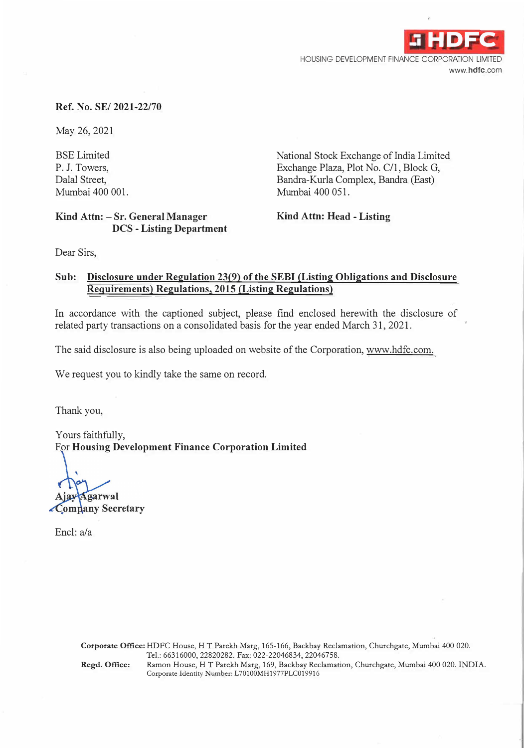

# **Ref. No. SE/ 2021-22/70**

May 26, 2021

BSE Limited P. J. Towers, Dalal Street, Mumbai 400 001.

## **Kind Attn: - Sr. General Manager DCS - Listing Department**

National Stock Exchange of India Limited Exchange Plaza, Plot No. C/1, Block G, Bandra-Kurla Complex, Bandra (East) Mumbai 400 051.

**Kind Attn: Head - Listing** 

Dear Sirs,

# **Sub: Disclosure under Regulation 23(9) of the SEBI (Listing Obligations and Disclosure Requirements) Regulations, 2015 (Listing Regulations)**

In accordance with the captioned subject, please find enclosed herewith the disclosure of related party transactions on a consolidated basis for the year ended March 31, 2021.

The said disclosure is also being uploaded on website of the Corporation, www.hdfc.com.

We request you to kindly take the same on record.

Thank you,

Yours faithfully, For **Housing Development Finance Corporation Limited** 

**Agarwal** 

Company Secretary

Encl: a/a

**Corporate Office:** HDFC House, HT Parekh Marg, 165-166, Backbay Reclamation, Churchgate, Mumbai 400 020. Tel.: 66316000, 22820282. Fax: 022-22046834, 22046758. **Regd. Office:** Ramon House, HT Parekh Marg, 169, Backbay Reclamation, Churchgate, Mumbai 400 020. INDIA. Corporate Identity Number: L70100MH1977PLC019916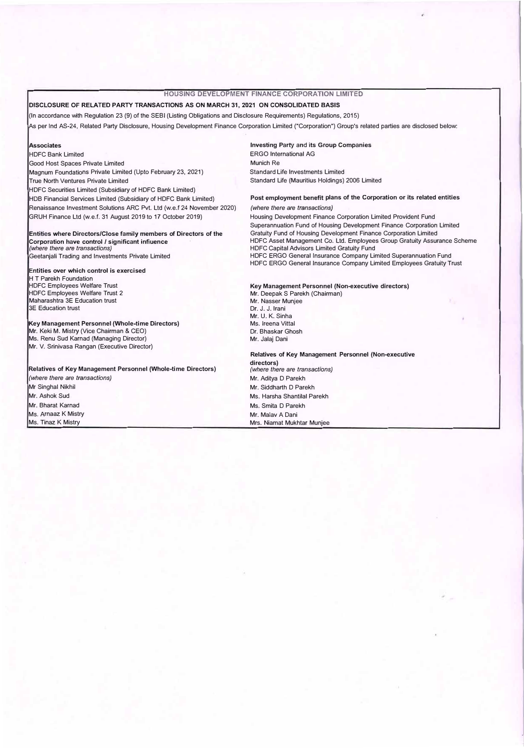## **HOUSING DEVELOPMENT FINANCE CORPORATION LIMITED**

### DISCLOSURE OF RELATED PARTY TRANSACTIONS AS ON MARCH 31, 2021 ON CONSOLIDATED BASIS

(In accordance with Regulation 23 (9) of the SEBI (Listing Obligations and Disclosure Requirements) Regulations, 2015)

As per Ind AS-24, Related Party Disclosure, Housing Development Finance Corporation Limited ("Corporation") Group's related parties are disclosed below:

#### **Associates**

HDFC Bank Limited Good Host Spaces Private Limited Magnum Foundations Private Limited (Upto February 23, 2021) True North Ventures Private Limited HDFC Securities Limited (Subsidiary of HDFC Bank Limited) HOB Financial Services Limited (Subsidiary of HDFC Bank Limited) Renaissance Investment Solutions ARC Pvt. Ltd (w.e.f 24 November 2020) GRUH Finance Ltd (w.e.f. 31 August 2019 to 17 October 2019)

#### Entities where Directors/Close family members of Directors of the Corporation have control / significant infiuence *(where there are transactions)*  Geetanjali Trading and Investments Private Limited

#### **Entities over which control is exercised**

H T Parekh Foundation HDFC Employees Welfare Trust HDFC Employees Welfare Trust 2 Maharashtra 3E Education trust 3E Education trust

### **Key Management Personnel (Whole-time Directors)**

Mr. Keki M. Mistry (Vice Chairman & CEO) Ms. Renu Sud Karnad (Managing Director) Mr. V. Srinivasa Rangan (Executive Director)

**Relatives of Key Management Personnel (Whole-time Directors)** 

*(where there* are *transactions)*  Mr Singha! Nikhil Mr. Ashok Sud Mr. Bharat Karnad Ms. Arnaaz K Mistry Ms. Tinaz K Mistry

Investing Party and its Group Companies ERGO International AG Munich Re Standard Life Investments Limited Standard Life (Mauritius Holdings) 2006 Limited

### **Post employment benefit plans of the Corporation or its related entities**  *(where there are transactions)*

Housing Development Finance Corporation Limited Provident Fund Superannuation Fund of Housing Development Finance Corporation Limited Gratuity Fund of Housing Development Finance Corporation Limited HDFC Asset Management Co. Ltd. Employees Group Gratuity Assurance Scheme HDFC Capital Advisors Limited Gratuity Fund HDFC ERGO General Insurance Company Limited Superannuation Fund HDFC ERGO General Insurance Company Limited Employees Gratuity Trust

**Key Management Personnel (Non-executive directors)**  Mr. Deepak S Parekh (Chairman) Mr. Nasser Munjee Dr. J. J. Irani Mr. U. K. Sinha Ms. lreena Vittal Dr. Bhaskar Ghosh Mr. Jalaj Dani

**Relatives of Key Management Personnel (Non-executive directors)**  *(where there are transactions)*  Mr. Aditya D Parekh Mr. Siddharth D Parekh Ms. Harsha Shantilal Parekh Ms. Smita D Parekh Mr. Malav A Dani Mrs. Niamat Mukhtar Munjee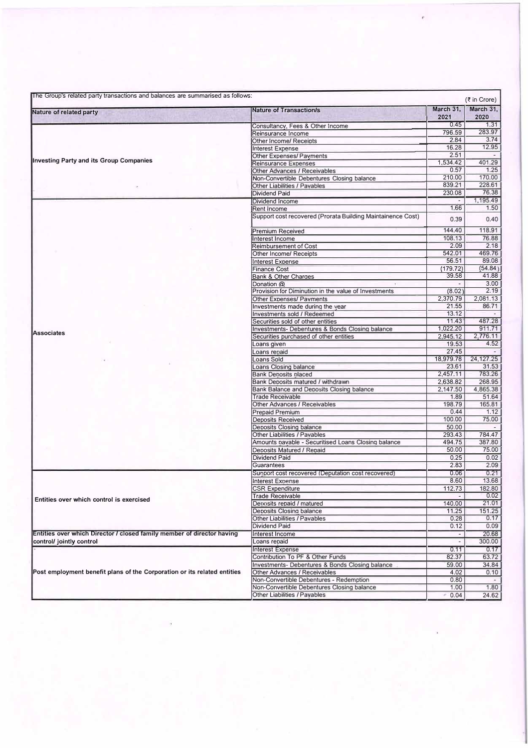| The Group's related party transactions and balances are summarised as follows:<br>$(3\overline{5})$ in Crore) |                                                                            |                   |                   |  |
|---------------------------------------------------------------------------------------------------------------|----------------------------------------------------------------------------|-------------------|-------------------|--|
| Nature of related party                                                                                       | <b>Nature of Transaction/s</b>                                             | March 31,<br>2021 | March 31,<br>2020 |  |
|                                                                                                               | Consultancy, Fees & Other Income                                           | 0.45              | 1.31              |  |
|                                                                                                               | Reinsurance Income                                                         | 796.59            | 283.97            |  |
|                                                                                                               | Other Income/ Receipts                                                     | 2.84              | 3.74              |  |
|                                                                                                               | <b>Interest Expense</b>                                                    | 16.28             | 12.95             |  |
|                                                                                                               | Other Expenses/ Payments                                                   | 2.51              |                   |  |
| <b>Investing Party and its Group Companies</b>                                                                | <b>Reinsurance Expenses</b>                                                | 1,534.42          | 401.29            |  |
|                                                                                                               | Other Advances / Receivables                                               | 0.57              | 1.25              |  |
|                                                                                                               | Non-Convertible Debentures Closing balance                                 | 210.00            | 170.00            |  |
|                                                                                                               | Other Liabilities / Pavables                                               | 839.21            | 228.61            |  |
|                                                                                                               | <b>Dividend Paid</b>                                                       | 230.08            | 76.38             |  |
|                                                                                                               | Dividend Income                                                            |                   | 1.195.49          |  |
|                                                                                                               | Rent Income                                                                | 1.66              | 1.50              |  |
|                                                                                                               | Support cost recovered (Prorata Building Maintainence Cost)                | 0.39              | 0.40              |  |
|                                                                                                               | <b>Premium Received</b>                                                    | 144.40            | 118.91            |  |
|                                                                                                               | Interest Income                                                            | 108.13            | 76.88             |  |
|                                                                                                               | <b>Reimbursement of Cost</b>                                               | 2.09              | 2.18              |  |
|                                                                                                               | Other Income/ Receipts                                                     | 542.01            | 469.76            |  |
|                                                                                                               | <b>Interest Expense</b>                                                    | 56.51             | 89.08             |  |
|                                                                                                               | <b>Finance Cost</b>                                                        | (179.72)          | (54.84)           |  |
|                                                                                                               | <b>Bank &amp; Other Charges</b>                                            | 39.58             | 41.88             |  |
|                                                                                                               | Donation @                                                                 |                   | 3.00              |  |
|                                                                                                               | Provision for Diminution in the value of Investments                       | (8.02)            | 2.19              |  |
|                                                                                                               | <b>Other Expenses/ Pavments</b>                                            | 2,370.79          | 2,081.13          |  |
|                                                                                                               | Investments made during the year                                           | 21.55             | 86.71             |  |
|                                                                                                               | Investments sold / Redeemed                                                | 13.12             |                   |  |
|                                                                                                               | Securities sold of other entities                                          | 11.43             | 487.28            |  |
|                                                                                                               | <b>Investments- Debentures &amp; Bonds Closing balance</b>                 | 1,022.20          | 911.71            |  |
| <b>Associates</b>                                                                                             | Securities purchased of other entities                                     | 2,945.12          | 2,776.11          |  |
|                                                                                                               | Loans given                                                                | 19.53             | 4.52              |  |
|                                                                                                               | Loans repaid                                                               | 27.45             |                   |  |
|                                                                                                               | Loans Sold                                                                 | 18,979.78         | 24, 127. 25       |  |
|                                                                                                               | Loans Closing balance                                                      | 23.61             | 31.53             |  |
|                                                                                                               | <b>Bank Deposits placed</b>                                                | 2,457.11          | 783.26            |  |
|                                                                                                               | Bank Deposits matured / withdrawn                                          | 2,638.82          | 268.95            |  |
|                                                                                                               | Bank Balance and Deposits Closing balance                                  | 2,147.50          | 4,865.38          |  |
|                                                                                                               | Trade Receivable                                                           | 1.89              | 51.64             |  |
|                                                                                                               | Other Advances / Receivables                                               | 198.79            | 165.81            |  |
| Entities over which control is exercised                                                                      | Prepaid Premium                                                            | 0.44              | 1.12              |  |
|                                                                                                               | Deposits Received                                                          | 100.00            | 75.00             |  |
|                                                                                                               | <b>Deposits Closing balance</b>                                            | 50.00             |                   |  |
|                                                                                                               | Other Liabilities / Pavables                                               | 293.43            | 784.47            |  |
|                                                                                                               | Amounts payable - Securitised Loans Closing balance                        | 494.75            | 387.80            |  |
|                                                                                                               | Deposits Matured / Repaid                                                  | 50.00             | 75.00             |  |
|                                                                                                               | Dividend Paid                                                              | 0.25              | 0.02              |  |
|                                                                                                               | Guarantees                                                                 | 2.83              | 2.09              |  |
|                                                                                                               | Support cost recovered (Deputation cost recovered)                         | 0.06              | 0.21              |  |
|                                                                                                               | Interest Expense                                                           | 8.60              | 13.68             |  |
|                                                                                                               | <b>CSR Expenditure</b>                                                     | 112.73            | 182.80            |  |
|                                                                                                               | <b>Trade Receivable</b>                                                    |                   | 0.02              |  |
|                                                                                                               | Deposits repaid / matured                                                  | 140.00            | 21.01             |  |
|                                                                                                               | Deposits Closing balance                                                   | 11.25             | 151.25            |  |
|                                                                                                               | Other Liabilities / Pavables                                               | 0.28              | 0.17              |  |
|                                                                                                               | <b>Dividend Paid</b>                                                       | 0.12              | 0.09              |  |
| Entities over which Director / closed family member of director having                                        | Interest Income                                                            |                   | 20.68             |  |
|                                                                                                               | Loans repaid                                                               | $\blacksquare$    |                   |  |
| control/ jointly control                                                                                      |                                                                            |                   | 300.00            |  |
|                                                                                                               | <b>Interest Expense</b>                                                    | 0.11              | 0.17              |  |
|                                                                                                               | Contribution To PF & Other Funds                                           | 82.37             | 63.72             |  |
| Post employment benefit plans of the Corporation or its related entities                                      | Investments- Debentures & Bonds Closing balance                            | 59.00             | 34.84             |  |
|                                                                                                               |                                                                            | 4.02              | 0.10              |  |
|                                                                                                               | Other Advances / Receivables                                               |                   |                   |  |
|                                                                                                               | Non-Convertible Debentures - Redemption                                    | 0.80              |                   |  |
|                                                                                                               | Non-Convertible Debentures Closing balance<br>Other Liabilities / Payables | 1.00<br>0.04      | 1.80<br>24.62     |  |